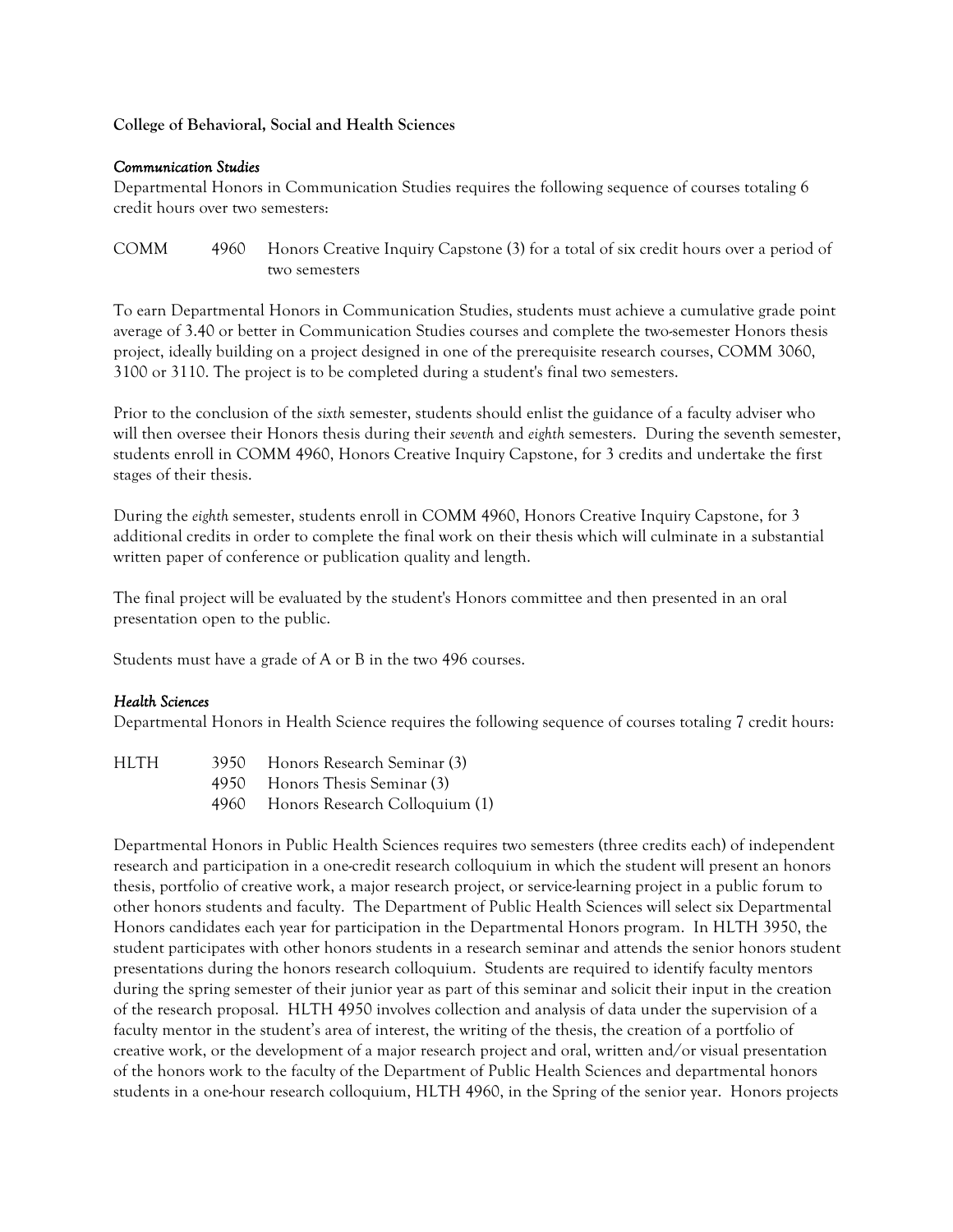# **College of Behavioral, Social and Health Sciences**

#### *Communication Studies*

Departmental Honors in Communication Studies requires the following sequence of courses totaling 6 credit hours over two semesters:

COMM 4960 Honors Creative Inquiry Capstone (3) for a total of six credit hours over a period of two semesters

To earn Departmental Honors in Communication Studies, students must achieve a cumulative grade point average of 3.40 or better in Communication Studies courses and complete the two-semester Honors thesis project, ideally building on a project designed in one of the prerequisite research courses, COMM 3060, 3100 or 3110. The project is to be completed during a student's final two semesters.

Prior to the conclusion of the *sixth* semester, students should enlist the guidance of a faculty adviser who will then oversee their Honors thesis during their *seventh* and *eighth* semesters. During the seventh semester, students enroll in COMM 4960, Honors Creative Inquiry Capstone, for 3 credits and undertake the first stages of their thesis.

During the *eighth* semester, students enroll in COMM 4960, Honors Creative Inquiry Capstone, for 3 additional credits in order to complete the final work on their thesis which will culminate in a substantial written paper of conference or publication quality and length.

The final project will be evaluated by the student's Honors committee and then presented in an oral presentation open to the public.

Students must have a grade of A or B in the two 496 courses.

# *Health Sciences*

Departmental Honors in Health Science requires the following sequence of courses totaling 7 credit hours:

| HLTH | 3950 Honors Research Seminar (3)    |
|------|-------------------------------------|
|      | 4950 Honors Thesis Seminar (3)      |
|      | 4960 Honors Research Colloquium (1) |

Departmental Honors in Public Health Sciences requires two semesters (three credits each) of independent research and participation in a one-credit research colloquium in which the student will present an honors thesis, portfolio of creative work, a major research project, or service-learning project in a public forum to other honors students and faculty. The Department of Public Health Sciences will select six Departmental Honors candidates each year for participation in the Departmental Honors program. In HLTH 3950, the student participates with other honors students in a research seminar and attends the senior honors student presentations during the honors research colloquium. Students are required to identify faculty mentors during the spring semester of their junior year as part of this seminar and solicit their input in the creation of the research proposal. HLTH 4950 involves collection and analysis of data under the supervision of a faculty mentor in the student's area of interest, the writing of the thesis, the creation of a portfolio of creative work, or the development of a major research project and oral, written and/or visual presentation of the honors work to the faculty of the Department of Public Health Sciences and departmental honors students in a one-hour research colloquium, HLTH 4960, in the Spring of the senior year. Honors projects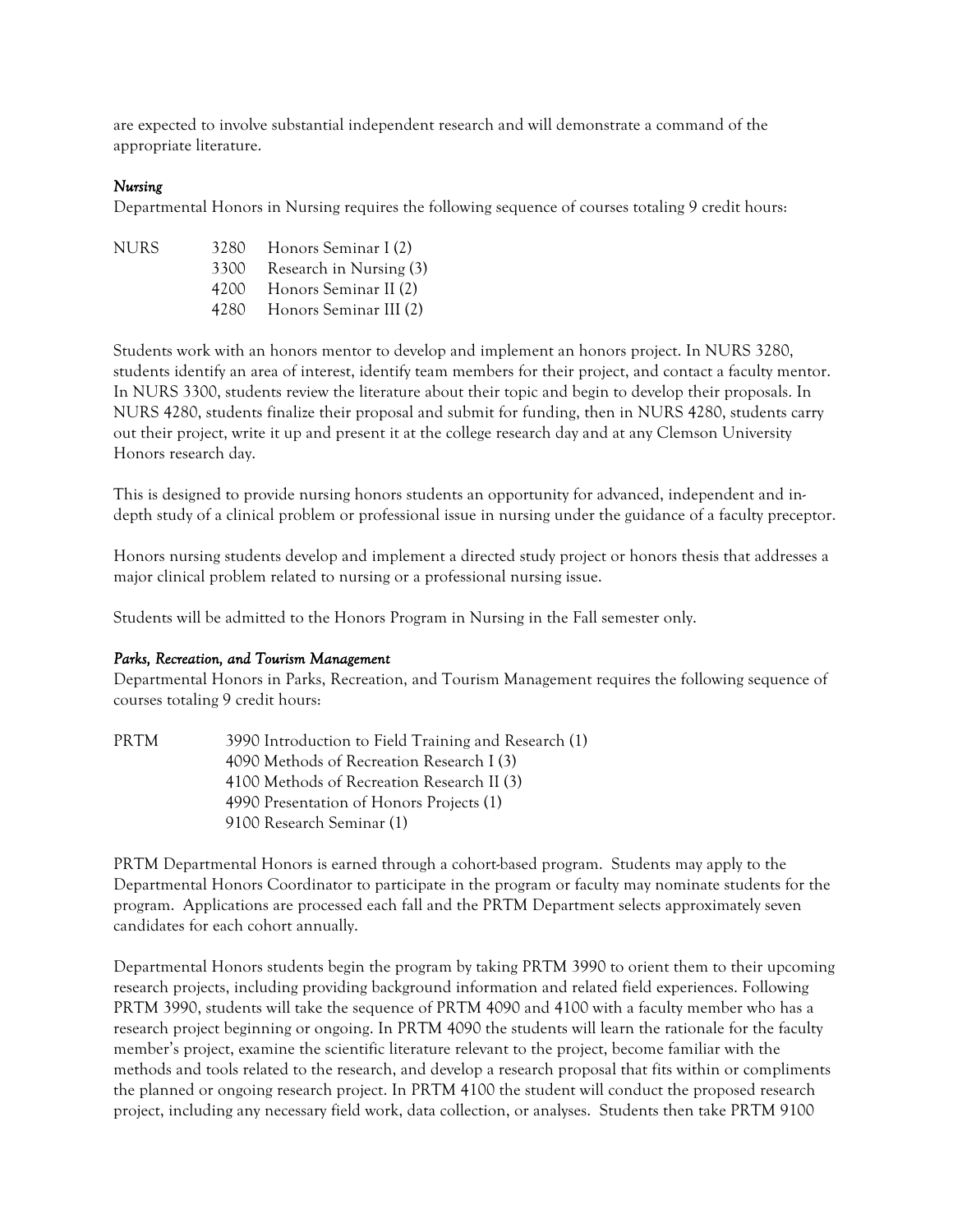are expected to involve substantial independent research and will demonstrate a command of the appropriate literature.

### *Nursing*

Departmental Honors in Nursing requires the following sequence of courses totaling 9 credit hours:

| nurs. |      | 3280 Honors Seminar I (2)   |
|-------|------|-----------------------------|
|       | 3300 | Research in Nursing (3)     |
|       |      | 4200 Honors Seminar II (2)  |
|       |      | 4280 Honors Seminar III (2) |

Students work with an honors mentor to develop and implement an honors project. In NURS 3280, students identify an area of interest, identify team members for their project, and contact a faculty mentor. In NURS 3300, students review the literature about their topic and begin to develop their proposals. In NURS 4280, students finalize their proposal and submit for funding, then in NURS 4280, students carry out their project, write it up and present it at the college research day and at any Clemson University Honors research day.

This is designed to provide nursing honors students an opportunity for advanced, independent and indepth study of a clinical problem or professional issue in nursing under the guidance of a faculty preceptor.

Honors nursing students develop and implement a directed study project or honors thesis that addresses a major clinical problem related to nursing or a professional nursing issue.

Students will be admitted to the Honors Program in Nursing in the Fall semester only.

#### *Parks, Recreation, and Tourism Management*

Departmental Honors in Parks, Recreation, and Tourism Management requires the following sequence of courses totaling 9 credit hours:

PRTM 3990 Introduction to Field Training and Research (1) 4090 Methods of Recreation Research I (3) 4100 Methods of Recreation Research II (3) 4990 Presentation of Honors Projects (1) 9100 Research Seminar (1)

PRTM Departmental Honors is earned through a cohort-based program. Students may apply to the Departmental Honors Coordinator to participate in the program or faculty may nominate students for the program. Applications are processed each fall and the PRTM Department selects approximately seven candidates for each cohort annually.

Departmental Honors students begin the program by taking PRTM 3990 to orient them to their upcoming research projects, including providing background information and related field experiences. Following PRTM 3990, students will take the sequence of PRTM 4090 and 4100 with a faculty member who has a research project beginning or ongoing. In PRTM 4090 the students will learn the rationale for the faculty member's project, examine the scientific literature relevant to the project, become familiar with the methods and tools related to the research, and develop a research proposal that fits within or compliments the planned or ongoing research project. In PRTM 4100 the student will conduct the proposed research project, including any necessary field work, data collection, or analyses. Students then take PRTM 9100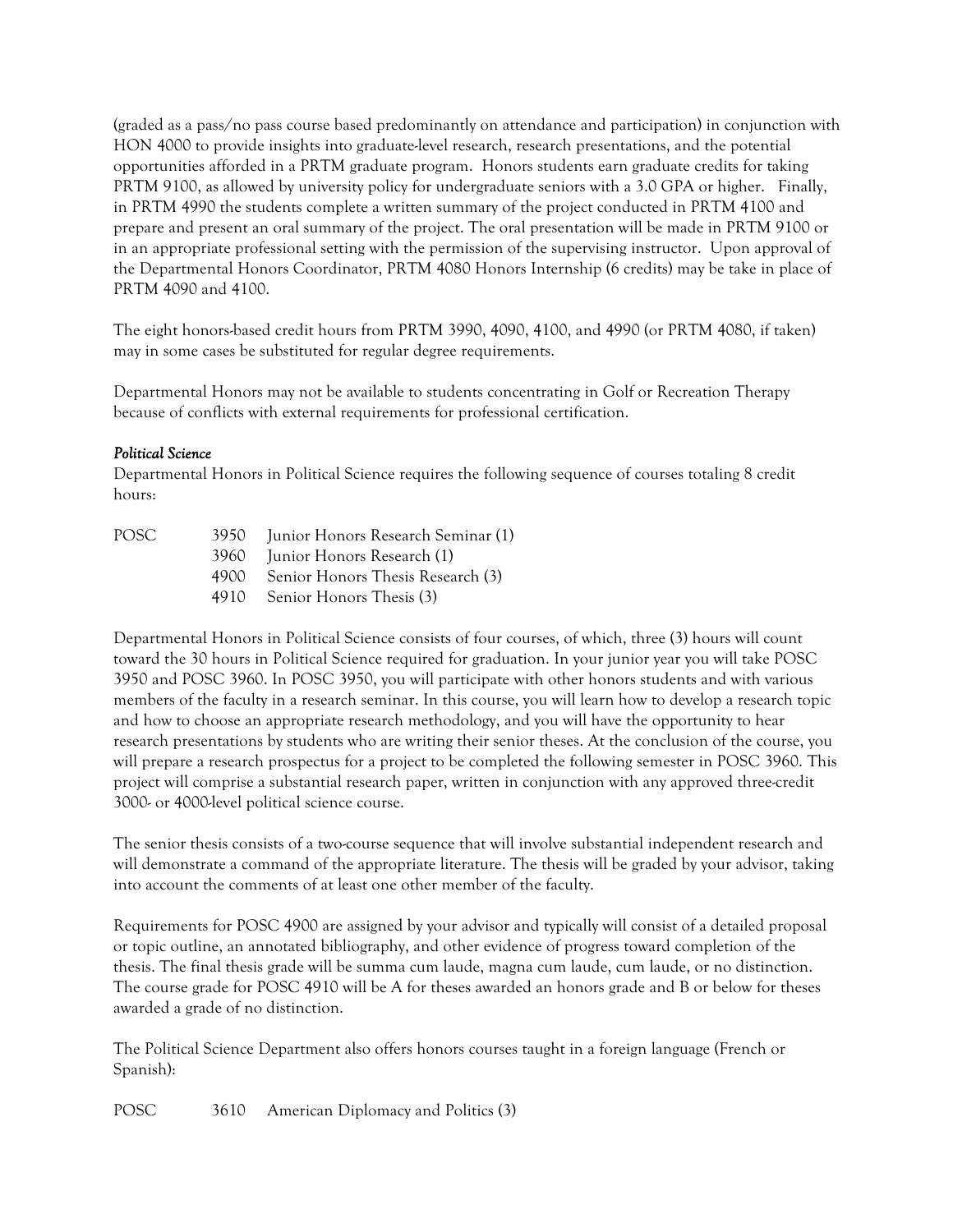(graded as a pass/no pass course based predominantly on attendance and participation) in conjunction with HON 4000 to provide insights into graduate-level research, research presentations, and the potential opportunities afforded in a PRTM graduate program. Honors students earn graduate credits for taking PRTM 9100, as allowed by university policy for undergraduate seniors with a 3.0 GPA or higher. Finally, in PRTM 4990 the students complete a written summary of the project conducted in PRTM 4100 and prepare and present an oral summary of the project. The oral presentation will be made in PRTM 9100 or in an appropriate professional setting with the permission of the supervising instructor. Upon approval of the Departmental Honors Coordinator, PRTM 4080 Honors Internship (6 credits) may be take in place of PRTM 4090 and 4100.

The eight honors-based credit hours from PRTM 3990, 4090, 4100, and 4990 (or PRTM 4080, if taken) may in some cases be substituted for regular degree requirements.

Departmental Honors may not be available to students concentrating in Golf or Recreation Therapy because of conflicts with external requirements for professional certification.

### *Political Science*

Departmental Honors in Political Science requires the following sequence of courses totaling 8 credit hours:

| POSC <sub>2</sub> |      | 3950 Junior Honors Research Seminar (1) |
|-------------------|------|-----------------------------------------|
|                   |      | 3960 Junior Honors Research (1)         |
|                   | 4900 | Senior Honors Thesis Research (3)       |
|                   |      | 4910 Senior Honors Thesis (3)           |
|                   |      |                                         |

Departmental Honors in Political Science consists of four courses, of which, three (3) hours will count toward the 30 hours in Political Science required for graduation. In your junior year you will take POSC 3950 and POSC 3960. In POSC 3950, you will participate with other honors students and with various members of the faculty in a research seminar. In this course, you will learn how to develop a research topic and how to choose an appropriate research methodology, and you will have the opportunity to hear research presentations by students who are writing their senior theses. At the conclusion of the course, you will prepare a research prospectus for a project to be completed the following semester in POSC 3960. This project will comprise a substantial research paper, written in conjunction with any approved three-credit 3000- or 4000-level political science course.

The senior thesis consists of a two-course sequence that will involve substantial independent research and will demonstrate a command of the appropriate literature. The thesis will be graded by your advisor, taking into account the comments of at least one other member of the faculty.

Requirements for POSC 4900 are assigned by your advisor and typically will consist of a detailed proposal or topic outline, an annotated bibliography, and other evidence of progress toward completion of the thesis. The final thesis grade will be summa cum laude, magna cum laude, cum laude, or no distinction. The course grade for POSC 4910 will be A for theses awarded an honors grade and B or below for theses awarded a grade of no distinction.

The Political Science Department also offers honors courses taught in a foreign language (French or Spanish):

POSC 3610 American Diplomacy and Politics (3)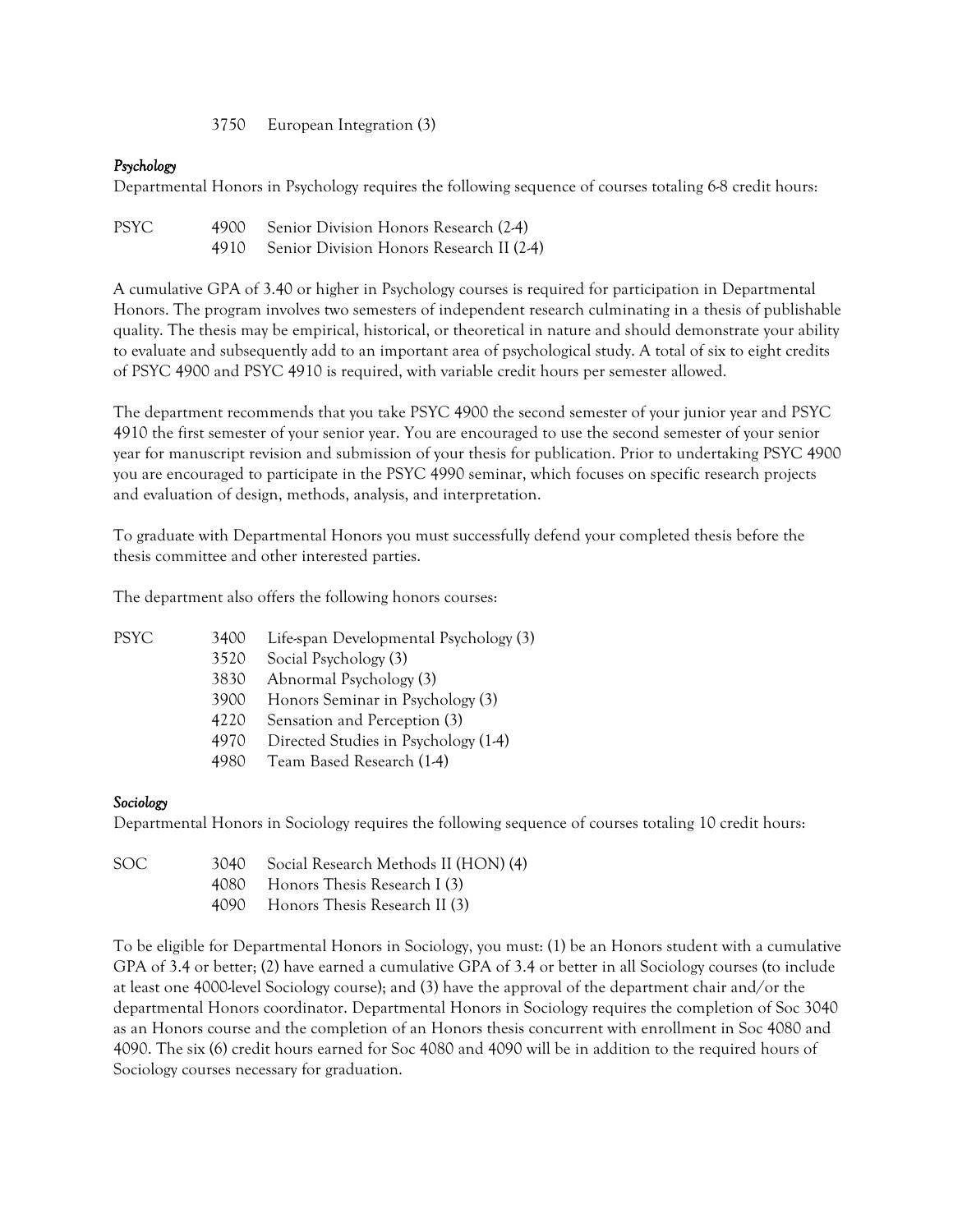3750 European Integration (3)

# *Psychology*

Departmental Honors in Psychology requires the following sequence of courses totaling 6-8 credit hours:

PSYC 4900 Senior Division Honors Research (2-4) 4910 Senior Division Honors Research II (2-4)

A cumulative GPA of 3.40 or higher in Psychology courses is required for participation in Departmental Honors. The program involves two semesters of independent research culminating in a thesis of publishable quality. The thesis may be empirical, historical, or theoretical in nature and should demonstrate your ability to evaluate and subsequently add to an important area of psychological study. A total of six to eight credits of PSYC 4900 and PSYC 4910 is required, with variable credit hours per semester allowed.

The department recommends that you take PSYC 4900 the second semester of your junior year and PSYC 4910 the first semester of your senior year. You are encouraged to use the second semester of your senior year for manuscript revision and submission of your thesis for publication. Prior to undertaking PSYC 4900 you are encouraged to participate in the PSYC 4990 seminar, which focuses on specific research projects and evaluation of design, methods, analysis, and interpretation.

To graduate with Departmental Honors you must successfully defend your completed thesis before the thesis committee and other interested parties.

The department also offers the following honors courses:

| PSYC | 3400 | Life-span Developmental Psychology (3) |  |
|------|------|----------------------------------------|--|
|------|------|----------------------------------------|--|

- 3520 Social Psychology (3)
- 3830 Abnormal Psychology (3)
- 3900 Honors Seminar in Psychology (3)
- 4220 Sensation and Perception (3)
- 4970 Directed Studies in Psychology (1-4)
- 4980 Team Based Research (1-4)

#### *Sociology*

Departmental Honors in Sociology requires the following sequence of courses totaling 10 credit hours:

- SOC 3040 Social Research Methods II (HON) (4)
	- 4080 Honors Thesis Research I (3)
	- 4090 Honors Thesis Research II (3)

To be eligible for Departmental Honors in Sociology, you must: (1) be an Honors student with a cumulative GPA of 3.4 or better; (2) have earned a cumulative GPA of 3.4 or better in all Sociology courses (to include at least one 4000-level Sociology course); and (3) have the approval of the department chair and/or the departmental Honors coordinator. Departmental Honors in Sociology requires the completion of Soc 3040 as an Honors course and the completion of an Honors thesis concurrent with enrollment in Soc 4080 and 4090. The six (6) credit hours earned for Soc 4080 and 4090 will be in addition to the required hours of Sociology courses necessary for graduation.